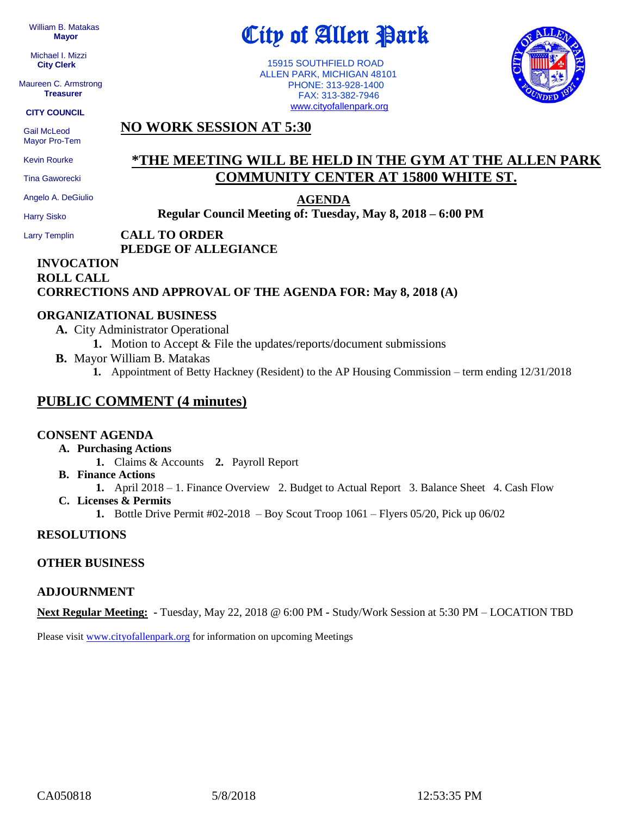William B. Matakas  **Mayor**

 Michael I. Mizzi **City Clerk**

Maureen C. Armstrong **Treasurer**

**CITY COUNCIL**

 Gail McLeod Mayor Pro-Tem

Kevin Rourke

Tina Gaworecki

Angelo A. DeGiulio

Harry Sisko

Larry Templin

# City of Allen Park

 15915 SOUTHFIELD ROAD ALLEN PARK, MICHIGAN 48101 PHONE: 313-928-1400 FAX: 313-382-7946 [www.cityofallenpark.org](http://www.cityofallenpark.org/)



**NO WORK SESSION AT 5:30**

# **\*THE MEETING WILL BE HELD IN THE GYM AT THE ALLEN PARK COMMUNITY CENTER AT 15800 WHITE ST.**

**AGENDA**

**Regular Council Meeting of: Tuesday, May 8, 2018 – 6:00 PM** 

**CALL TO ORDER PLEDGE OF ALLEGIANCE**

### **INVOCATION ROLL CALL CORRECTIONS AND APPROVAL OF THE AGENDA FOR: May 8, 2018 (A)**

#### **ORGANIZATIONAL BUSINESS**

- **A.** City Administrator Operational
	- **1.** Motion to Accept & File the updates/reports/document submissions
- **B.** Mayor William B. Matakas
	- **1.** Appointment of Betty Hackney (Resident) to the AP Housing Commission term ending 12/31/2018

## **PUBLIC COMMENT (4 minutes)**

#### **CONSENT AGENDA**

- **A. Purchasing Actions**
	- **1.** Claims & Accounts **2.** Payroll Report
- **B. Finance Actions**
	- **1.** April 2018 1. Finance Overview 2. Budget to Actual Report 3. Balance Sheet 4. Cash Flow
- **C. Licenses & Permits**
	- **1.** Bottle Drive Permit #02-2018 Boy Scout Troop 1061 Flyers 05/20, Pick up 06/02

#### **RESOLUTIONS**

#### **OTHER BUSINESS**

#### **ADJOURNMENT**

**Next Regular Meeting: -** Tuesday, May 22, 2018 @ 6:00 PM **-** Study/Work Session at 5:30 PM – LOCATION TBD

Please visit [www.cityofallenpark.org](http://www.cityofallenpark.org/) for information on upcoming Meetings